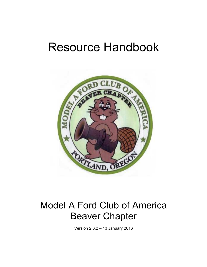# Resource Handbook



# Model A Ford Club of America Beaver Chapter

Version 2.3,2 – 13 January 2016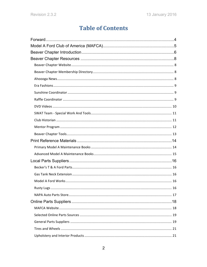# **Table of Contents**

| <b>Rusty Lugs</b> | 16 |
|-------------------|----|
|                   |    |
|                   |    |
|                   |    |
|                   |    |
|                   |    |
|                   |    |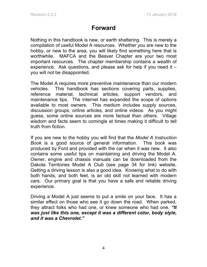# **Forward**

Nothing in this handbook is new, or earth shattering. This is merely a compilation of useful Model A resources. Whether you are new to the hobby, or new to the area, you will likely find something here that is worthwhile. MAFCA and the Beaver Chapter are your two most important resources. The chapter membership contains a wealth of experience. Ask questions, and please ask for help if you need it – you will not be disappointed.

The Model A requires more preventive maintenance than our modern vehicles. This handbook has sections covering parts, supplies, reference material, technical articles, support vendors, and maintenance tips. The internet has expanded the scope of options available to most owners. This medium includes supply sources, discussion groups, online articles, and online videos. As you might guess, some online sources are more factual than others. Village wisdom and facts seem to comingle at times making it difficult to tell truth from fiction.

If you are new to the hobby you will find that the *Model A Instruction Book* is a good source of general information. This book was produced by Ford and provided with the car when it was new. It also contains some useful tips on maintaining and driving the Model A. Owner, engine and chassis manuals can be downloaded from the Dakota Territories Model A Club (see page 34 for link) website. Getting a driving lesson is also a good idea. Knowing what to do with both hands, and both feet, is an old skill not learned with modern cars. Our primary goal is that you have a safe and reliable driving experience.

Driving a Model A just seems to put a smile on your face. It has a similar effect on those who see it go down the road. When parked, they attract folks who had one, or knew someone who had one. *"It was just like this one, except it was a different color, body style, and it was a Chevrolet."*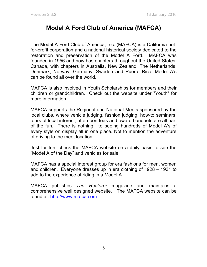# **Model A Ford Club of America (MAFCA)**

The Model A Ford Club of America, Inc. (MAFCA) is a California notfor-profit corporation and a national historical society dedicated to the restoration and preservation of the Model A Ford. MAFCA was founded in 1956 and now has chapters throughout the United States, Canada, with chapters in Australia, New Zealand, The Netherlands, Denmark, Norway, Germany, Sweden and Puerto Rico. Model A's can be found all over the world.

MAFCA is also involved in Youth Scholarships for members and their children or grandchildren. Check out the website under "Youth" for more information.

MAFCA supports the Regional and National Meets sponsored by the local clubs, where vehicle judging, fashion judging, how-to seminars, tours of local interest, afternoon teas and award banquets are all part of the fun. There is nothing like seeing hundreds of Model A's of every style on display all in one place. Not to mention the adventure of driving to the meet location.

Just for fun, check the MAFCA website on a daily basis to see the "Model A of the Day" and vehicles for sale.

MAFCA has a special interest group for era fashions for men, women and children. Everyone dresses up in era clothing of 1928 – 1931 to add to the experience of riding in a Model A.

MAFCA publishes *The Restorer* magazine and maintains a comprehensive well designed website. The MAFCA website can be found at: http://www.mafca.com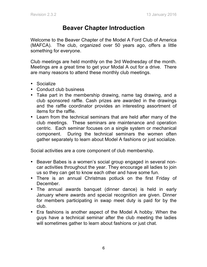# **Beaver Chapter Introduction**

Welcome to the Beaver Chapter of the Model A Ford Club of America (MAFCA). The club, organized over 50 years ago, offers a little something for everyone.

Club meetings are held monthly on the 3rd Wednesday of the month. Meetings are a great time to get your Modal A out for a drive. There are many reasons to attend these monthly club meetings.

- Socialize
- Conduct club business
- Take part in the membership drawing, name tag drawing, and a club sponsored raffle. Cash prizes are awarded in the drawings and the raffle coordinator provides an interesting assortment of items for the raffle.
- Learn from the technical seminars that are held after many of the club meetings. These seminars are maintenance and operation centric. Each seminar focuses on a single system or mechanical component. During the technical seminars the women often gather separately to learn about Model A fashions or just socialize.

Social activities are a core component of club membership.

- Beaver Babes is a women's social group engaged in several noncar activities throughout the year. They encourage all ladies to join us so they can get to know each other and have some fun.
- There is an annual Christmas potluck on the first Friday of December.
- The annual awards banquet (dinner dance) is held in early January where awards and special recognition are given. Dinner for members participating in swap meet duty is paid for by the club.
- Era fashions is another aspect of the Model A hobby. When the guys have a technical seminar after the club meeting the ladies will sometimes gather to learn about fashions or just chat.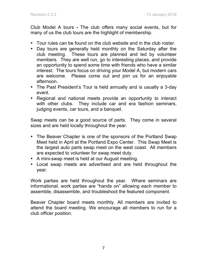Club Model A tours **-** The club offers many social events, but for many of us the club tours are the highlight of membership.

- Tour rules can be found on the club website and in the club roster.
- Day tours are generally held monthly on the Saturday after the club meeting. These tours are planned and led by volunteer members. They are well run, go to interesting places, and provide an opportunity to spend some time with friends who have a similar interest. The tours focus on driving your Model A, but modern cars are welcome. Please come out and join us for an enjoyable afternoon.
- The Past President's Tour is held annually and is usually a 3-day event.
- Regional and national meets provide an opportunity to interact with other clubs. They include car and era fashion seminars, judging events, car tours, and a banquet.

Swap meets can be a good source of parts. They come in several sizes and are held locally throughout the year.

- The Beaver Chapter is one of the sponsors of the Portland Swap Meet held in April at the Portland Expo Center. This Swap Meet is the largest auto parts swap meet on the west coast.All members are expected to volunteer for swap meet duty.
- A mini-swap meet is held at our August meeting.
- Local swap meets are advertised and are held throughout the year.

Work parties are held throughout the year. Where seminars are informational, work parties are "hands on" allowing each member to assemble, disassemble, and troubleshoot the featured component.

Beaver Chapter board meets monthly. All members are invited to attend the board meeting. We encourage all members to run for a club officer position.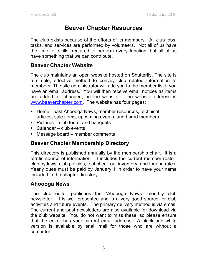# **Beaver Chapter Resources**

The club exists because of the efforts of its members. All club jobs, tasks, and services are performed by volunteers. Not all of us have the time, or skills, required to perform every function, but all of us have something that we can contribute.

### **Beaver Chapter Website**

The club maintains an open website hosted on Shutterfly. The site is a simple, effective method to convey club related information to members. The site administrator will add you to the member list if you have an email address. You will then receive email notices as items are added, or changed, on the website. The website address is www.beaverchapter.com. The website has four pages:

- Home past Ahoooga News, member resources, technical articles, sale items, upcoming events, and board members
- Pictures club tours, and banquets
- Calendar club events
- Message board member comments

### **Beaver Chapter Membership Directory**

This directory is published annually by the membership chair. It is a terrific source of information. It includes the current member roster, club by laws, club policies, tool check out inventory, and touring rules. Yearly dues must be paid by January 1 in order to have your name included in the chapter directory.

### **Ahoooga News**

The club editor publishes the "Ahoooga News" monthly club newsletter. It is well presented and is a very good source for club activities and future events. The primary delivery method is via email. The current and past newsletters are also available for download via the club website. You do not want to miss these, so please ensure that the editor has your current email address. A black and white version is available by snail mail for those who are without a computer.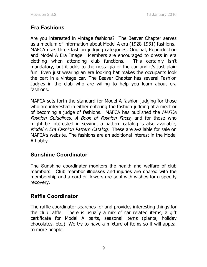## **Era Fashions**

Are you interested in vintage fashions? The Beaver Chapter serves as a medium of information about Model A era (1928-1931) fashions. MAFCA uses three fashion judging categories; Original, Reproduction and Model A Era Image. Members are encouraged to dress in era clothing when attending club functions. This certainly isn't mandatory, but it adds to the nostalgia of the car and it's just plain fun! Even just wearing an era looking hat makes the occupants look the part in a vintage car. The Beaver Chapter has several Fashion Judges in the club who are willing to help you learn about era fashions.

MAFCA sets forth the standard for Model A fashion judging for those who are interested in either entering the fashion judging at a meet or of becoming a judge of fashions. MAFCA has published the MAFCA Fashion Guidelines, A Book of Fashion Facts, and for those who might be interested in sewing, a pattern catalog is also available, Model A Era Fashion Pattern Catalog. These are available for sale on MAFCA's website. The fashions are an additional interest in the Model A hobby.

### **Sunshine Coordinator**

The Sunshine coordinator monitors the health and welfare of club members. Club member illnesses and injuries are shared with the membership and a card or flowers are sent with wishes for a speedy recovery.

# **Raffle Coordinator**

The raffle coordinator searches for and provides interesting things for the club raffle. There is usually a mix of car related items, a gift certificate for Model A parts, seasonal items (plants, holiday chocolates, etc.) We try to have a mixture of items so it will appeal to more people.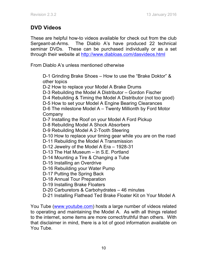## **DVD Videos**

These are helpful how-to videos available for check out from the club Sergeant-at-Arms. The Diablo A's have produced 22 technical seminar DVDs. These can be purchased individually or as a set through their website at http://www.diabloas.com/dasvideos.html

From Diablo A's unless mentioned otherwise

D-1 Grinding Brake Shoes – How to use the "Brake Doktor" & other topics

D-2 How to replace your Model A Brake Drums

- D-3 Rebuilding the Model A Distributor Gordon Fischer
- D-4 Rebuilding & Timing the Model A Distributor (not too good)
- D-5 How to set your Model A Engine Bearing Clearances

D-6 The milestone Model A – Twenty Millionth by Ford Motor Company

- D-7 Installing the Roof on your Model A Ford Pickup
- D-8 Rebuilding Model A Shock Absorbers
- D-9 Rebuilding Model A 2-Tooth Steering
- D-10 How to replace your timing gear while you are on the road
- D-11 Rebuilding the Model A Transmission
- D-12 Jewelry of the Model A Era 1928-31
- D-13 The Hat Museum in S.E. Portland
- D-14 Mounting a Tire & Changing a Tube
- D-15 Installing an Overdrive
- D-16 Rebuilding your Water Pump
- D-17 Putting the Spring Back
- D-18 Annual Tour Preparation
- D-19 Installing Brake Floaters
- D-20 Carburetors & Carbohydrates 46 minutes
- D-21 Installing Flathead Ted Brake Floater Kit on Your Model A

You Tube (www.youtube.com) hosts a large number of videos related to operating and maintaining the Model A. As with all things related to the internet, some items are more correct/truthful than others. With that disclaimer in mind, there is a lot of good information available on You Tube.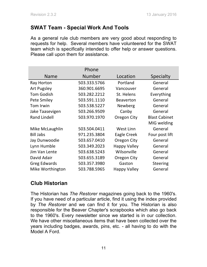### **SWAT Team - Special Work And Tools**

As a general rule club members are very good about responding to requests for help. Several members have volunteered for the SWAT team which is specifically intended to offer help or answer questions. Please call upon them for assistance.

|                     | Phone        |                     |                      |
|---------------------|--------------|---------------------|----------------------|
| <b>Name</b>         | Number       | Location            | Specialty            |
| Ray Horton          | 503.333.5766 | Portland            | General              |
| <b>Art Pugsley</b>  | 360.901.6695 | Vancouver           | General              |
| <b>Tom Godish</b>   | 503.282.2212 | St. Helens          | Everything           |
| Pete Smiley         | 503.591.1110 | <b>Beaverton</b>    | General              |
| Tom Irwin           | 503.538.5227 | Newberg             | General              |
| Jake Taasevigen     | 503.266.9509 | Canby               | General              |
| <b>Rand Lindell</b> | 503.970.1970 | Oregon City         | <b>Blast Cabinet</b> |
|                     |              |                     | MIG welding          |
| Mike McLaughlin     | 503.504.0411 | West Linn           | General              |
| <b>Bill Jabs</b>    | 971.235.3804 | Eagle Creek         | Four post lift       |
| Jay Dunwoodie       | 503.657.0410 | Oregon City         | General              |
| Lynn Humble         | 503.349.2023 | <b>Happy Valley</b> | General              |
| Jim Van Lente       | 503.638.5243 | Wilsonville         | General              |
| David Adair         | 503.655.3189 | Oregon City         | General              |
| <b>Greg Edwards</b> | 503.357.3980 | Gaston              | <b>Steering</b>      |
| Mike Worthington    | 503.788.5965 | <b>Happy Valley</b> | General              |

### **Club Historian**

The Historian has *The Restorer* magazines going back to the 1960's. If you have need of a particular article, find it using the index provided by *The Restorer* and we can find it for you. The Historian is also responsible for the Beaver Chapter's scrapbooks which also go back to the 1960's. Every newsletter since we started is in our collection. We have other miscellaneous items that have been collected over the years including badges, awards, pins, etc. - all having to do with the Model A Ford.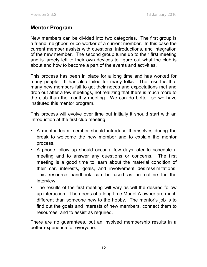### **Mentor Program**

New members can be divided into two categories. The first group is a friend, neighbor, or co-worker of a current member. In this case the current member assists with questions, introductions, and integration of the new member. The second group turns up to their first meeting and is largely left to their own devices to figure out what the club is about and how to become a part of the events and activities.

This process has been in place for a long time and has worked for many people. It has also failed for many folks. The result is that many new members fail to get their needs and expectations met and drop out after a few meetings, not realizing that there is much more to the club than the monthly meeting. We can do better, so we have instituted this mentor program.

This process will evolve over time but initially it should start with an introduction at the first club meeting.

- A mentor team member should introduce themselves during the break to welcome the new member and to explain the mentor process.
- A phone follow up should occur a few days later to schedule a meeting and to answer any questions or concerns. The first meeting is a good time to learn about the material condition of their car, interests, goals, and involvement desires/limitations. This resource handbook can be used as an outline for the interview.
- The results of the first meeting will vary as will the desired follow up interaction. The needs of a long time Model A owner are much different than someone new to the hobby. The mentor's job is to find out the goals and interests of new members, connect them to resources, and to assist as required.

There are no guarantees, but an involved membership results in a better experience for everyone.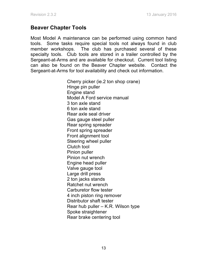### **Beaver Chapter Tools**

Most Model A maintenance can be performed using common hand tools. Some tasks require special tools not always found in club member workshops. The club has purchased several of these specialty tools. Club tools are stored in a trailer controlled by the Sergeant-at-Arms and are available for checkout. Current tool listing can also be found on the Beaver Chapter website. Contact the Sergeant-at-Arms for tool availability and check out information.

> Cherry picker (ie.2 ton shop crane) Hinge pin puller Engine stand Model A Ford service manual 3 ton axle stand 6 ton axle stand Rear axle seal driver Gas gauge steel puller Rear spring spreader Front spring spreader Front alignment tool Steering wheel puller Clutch tool Pinion puller Pinion nut wrench Engine head puller Valve gauge tool Large drill press 2 ton jacks stands Ratchet nut wrench Carburetor flow tester 4 inch piston ring remover Distributor shaft tester Rear hub puller – K.R. Wilson type Spoke straightener Rear brake centering tool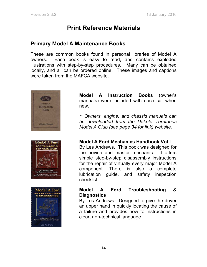# **Print Reference Materials**

### **Primary Model A Maintenance Books**

These are common books found in personal libraries of Model A owners. Each book is easy to read, and contains exploded illustrations with step-by-step procedures. Many can be obtained locally, and all can be ordered online. These images and captions were taken from the MAFCA website.







**Model A Instruction Books** (owner's manuals) were included with each car when new.

*\*\* Owners, engine, and chassis manuals can be downloaded from the Dakota Territories Model A Club (see page 34 for link) website.*

**Model A Ford Mechanics Handbook Vol I**

By Les Andrews. This book was designed for the novice and master mechanic. It offers simple step-by-step disassembly instructions for the repair of virtually every major Model A component. There is also a complete lubrication guide, and safety inspection checklist.

#### **Model A Ford Troubleshooting & Diagnostics**

By Les Andrews. Designed to give the driver an upper hand in quickly locating the cause of a failure and provides how to instructions in clear, non-technical language.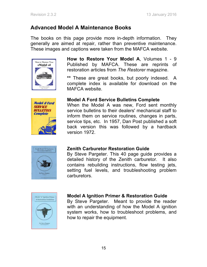### **Advanced Model A Maintenance Books**

The books on this page provide more in-depth information. They generally are aimed at repair, rather than preventive maintenance. These images and captions were taken from the MAFCA website.



**How to Restore Your Model A**, Volumes 1 - 9 Published by MAFCA. These are reprints of restoration articles from *The Restorer* magazine.

**\*\*** These are great books, but poorly indexed. A complete index is available for download on the MAFCA website.



#### **Model A Ford Service Bulletins Complete**

When the Model A was new, Ford sent monthly service bulletins to their dealers' mechanical staff to inform them on service routines, changes in parts, service tips, etc. In 1957, Dan Post published a soft back version this was followed by a hardback version 1972.



### **Zenith Carburetor Restoration Guide**

By Steve Pargeter. This 40 page guide provides a detailed history of the Zenith carburetor. It also contains rebuilding instructions, flow testing jets, setting fuel levels, and troubleshooting problem carburetors.



### **Model A Ignition Primer & Restoration Guide**

By Steve Pargeter. Meant to provide the reader with an understanding of how the Model A ignition system works, how to troubleshoot problems, and how to repair the equipment.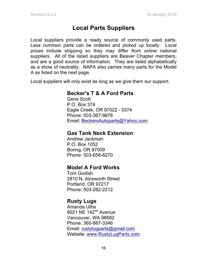# **Local Parts Suppliers**

Local suppliers provide a ready source of commonly used parts. Less common parts can be ordered and picked up locally. Local prices include shipping so they may differ from online national suppliers. All of the listed suppliers are Beaver Chapter members, and are a good source of information. They are listed alphabetically as a show of neutrality. NAPA also carries many parts for the Model A as listed on the next page.

Local suppliers will only exist as long as we give them our support.

### **Becker's T & A Ford Parts**

Gene Scott P.O. Box 374 Eagle Creek, OR 97022 - 0374 Phone: 503-367-9676 Email: BeckersAutoparts@Yahoo.com

### **Gas Tank Neck Extension**

Andrew Jackman P.O. Box 1052 Boring, OR 97009 Phone: 503-658-6270

### **Model A Ford Works**

Tom Godish 2810 N. Ainsworth Street Portland, OR 97217 Phone: 503-282-2212

### **Rusty Lugs**

Amanda Uthe 8021 NE 142<sup>nd</sup> Avenue Vancouver, WA 98682 Phone: 360-887-3346 Email: rustylugparts@gmail.com Website: www.RustyLugParts.com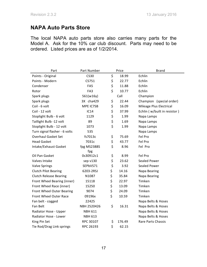### **NAPA Auto Parts Store**

The local NAPA auto parts store also carries many parts for the Model A. Ask for the 10% car club discount. Parts may need to be ordered. Listed prices are as of 1/2/2014.

| Part                          | Part Number    | Price |        | <b>Brand</b>                 |  |
|-------------------------------|----------------|-------|--------|------------------------------|--|
| Points - Original             | <b>CS30</b>    | \$    | 18.99  | Echlin                       |  |
| Points - Modern               | CS751          | \$    | 22.77  | Echlin                       |  |
| Condenser                     | FA5            | \$    | 11.88  | Echlin                       |  |
| Rotor                         | FA3            | \$    | 10.77  | Echlin                       |  |
| Spark plugs                   | 561(w16y)      |       | Call   | Champion                     |  |
| Spark plugs                   | 3X cha429      | \$    | 22.44  | Champion (special order)     |  |
| Coil - 6 volt                 | MPE IC7SB      | \$    | 16.09  | Mileage Plus Electrical      |  |
| Coil - 12 volt                | <b>IC14</b>    | \$    | 37.99  | Echlin (w/built in resistor) |  |
| Stoplight Bulb - 6 volt       | 1129           | \$    | 1.99   | Napa Lamps                   |  |
| Taillight Bulb -12 volt       | 89             | \$    | 1.69   | Napa Lamps                   |  |
| Stoplight Bulb - 12 volt      | 1073           | \$    | 1.99   | Napa Lamps                   |  |
| Turn signal flasher - 6 volts | 535            |       |        | Napa Lamps                   |  |
| <b>Overhaul Gasket Set</b>    | fs7013c        | \$    | 75.69  | Fel Pro                      |  |
| <b>Head Gasket</b>            | 7031c          | \$    | 43.77  | Fel Pro                      |  |
| Intake/Exhaust Gasket         | fpg MS2388S    | \$    | 8.96   | Fel Pro                      |  |
|                               | fpg            |       |        |                              |  |
| Oil Pan Gasket                | 0s30912c1      | \$    | 8.99   | Fel Pro                      |  |
| Valves Intake                 | sep v130       | \$    | 23.62  | <b>Sealed Power</b>          |  |
| <b>Valve Springs</b>          | SEPbVS71       | \$    | 3.92   | <b>Sealed Power</b>          |  |
| <b>Clutch Pilot Bearing</b>   | 6203-2RSJ      | \$    | 14.16  | Napa Bearing                 |  |
| <b>Clutch Release Bearing</b> | N1087          | \$    | 35.84  | Napa Bearing                 |  |
| Front Wheel Bearing (inner)   | 15118          | \$    | 22.97  | Timken                       |  |
| Front Wheel Race (inner)      | 15250          | \$    | 13.09  | Timken                       |  |
| Front Wheel Outer Bearing     | 9074           | \$    | 24.09  | Timken                       |  |
| Front Wheel Outer Race        | 09196x         | \$    | 10.59  | Timken                       |  |
| Fan belt - cogged             | 22425          |       |        | Napa Belts & Hoses           |  |
| Fan Belt                      | NBH 2520426    | \$    | 16.31  | Napa Belts & Hoses           |  |
| Radiator Hose - Upper         | <b>NBH 611</b> |       |        | Napa Belts & Hoses           |  |
| Radiator Hose - Lower         | <b>NBH 613</b> |       |        | Napa Belts & Hoses           |  |
| King Pin Set                  | RPC 30107      | \$    | 176.49 | Rare Parts Chassis           |  |
| Tie Rod/Drag Link springs     | RPC 26193      | \$    | 62.15  |                              |  |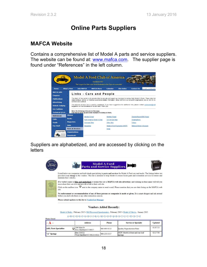# **Online Parts Suppliers**

### **MAFCA Website**

Contains a comprehensive list of Model A parts and service suppliers. The website can be found at: www.mafca.com. The supplier page is found under "References" in the left column.



Suppliers are alphabetized, and are accessed by clicking on the letters



 $\underline{A} \cdot \underline{B} \cdot \underline{C} \cdot \underline{D} \cdot \underline{E} \cdot \underline{F} \cdot \underline{G} \cdot \underline{H} \cdot \underline{I} \cdot \underline{I} \cdot \underline{K} \cdot \underline{L} \cdot \underline{M} \cdot \underline{N} \cdot \underline{O} \cdot \underline{P} \cdot \underline{Q} \cdot \underline{R} \cdot \underline{S} \cdot \underline{T} \cdot \underline{U} \cdot \underline{V} \cdot \underline{W} \cdot \underline{X} \cdot \underline{Y} \cdot \underline{Z}$ 

| Рионе викан           |  |                                           |              |                                            |                |  |
|-----------------------|--|-------------------------------------------|--------------|--------------------------------------------|----------------|--|
|                       |  | <b>Address</b>                            | Phone        | <b>Service or Specialty</b>                | <b>Updated</b> |  |
| A&L Parts Specialties |  | 196 Main St.<br>New Hartford CT 06057     | 860-693-0112 | Quality Reproduction Parts                 | 01/07/13       |  |
| "A" Springs           |  | Box 330322<br>West Hardford CT 06133-0322 | 860-233-3557 | NEW Model A front and rear leaf<br>springs | 02/27/06       |  |
|                       |  |                                           |              |                                            |                |  |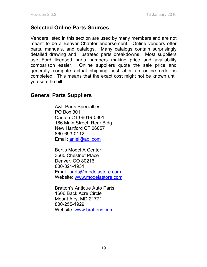### **Selected Online Parts Sources**

Venders listed in this section are used by many members and are not meant to be a Beaver Chapter endorsement. Online vendors offer parts, manuals, and catalogs. Many catalogs contain surprisingly detailed drawing and illustrated parts breakdowns. Most suppliers use Ford licensed parts numbers making price and availability comparison easier. Online suppliers quote the sale price and generally compute actual shipping cost after an online order is completed. This means that the exact cost might not be known until you see the bill.

### **General Parts Suppliers**

A&L Parts Specialties PO Box 301 Canton CT 06019-0301 186 Main Street, Rear Bldg New Hartford CT 06057 860-693-0112 Email: anlel@aol.com

Bert's Model A Center 3560 Chestnut Place Denver, CO 80216 800-321-1931 Email: parts@modelastore.com Website: www.modelastore.com

Bratton's Antique Auto Parts 1606 Back Acre Circle Mount Airy, MD 21771 800-255-1929 Website: www.brattons.com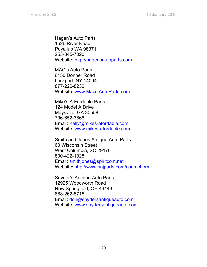Hagen's Auto Parts 1526 River Road Puyallup WA 98371 253-845-7020 Website: http://hagensautoparts.com

MAC's Auto Parts 6150 Donner Road Lockport, NY 14094 877-220-8230 Website: www.Macs.AutoParts.com

Mike's A Fordable Parts 124 Model A Drive Maysville, GA 30558 706-652-3866 Email: Kelly@mikes-afordable.com Website: www.mikes-afordable.com

Smith and Jones Antique Auto Parts 60 Wisconsin Street West Columbia, SC 29170 800-422-1928 Email: smithjones@spiritcom.net Website: http://www.snjparts.com/contactform

Snyder's Antique Auto Parts 12925 Woodworth Road New Springfield, OH 44443 888-262-5715 Email: don@snydersantiqueauto.com Website: www.snydersantiqueauto.com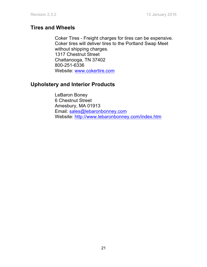### **Tires and Wheels**

Coker Tires - Freight charges for tires can be expensive. Coker tires will deliver tires to the Portland Swap Meet without shipping charges. 1317 Chestnut Street Chattanooga, TN 37402 800-251-6336 Website: www.cokertire.com

### **Upholstery and Interior Products**

 LeBaron Boney 6 Chestnut Street Amesbury, MA 01913 Email: sales@lebaronbonney.com Website: http://www.lebaronbonney.com/index.htm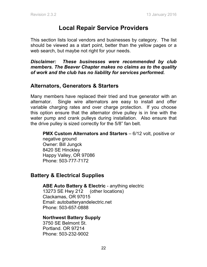# **Local Repair Service Providers**

This section lists local vendors and businesses by category. The list should be viewed as a start point, better than the yellow pages or a web search, but maybe not right for your needs.

*Disclaimer: These businesses were recommended by club members. The Beaver Chapter makes no claims as to the quality of work and the club has no liability for services performed.*

### **Alternators, Generators & Starters**

Many members have replaced their tried and true generator with an alternator. Single wire alternators are easy to install and offer variable charging rates and over charge protection. If you choose this option ensure that the alternator drive pulley is in line with the water pump and crank pulleys during installation. Also ensure that the drive pulley is sized correctly for the 5/8" fan belt.

**PMX Custom Alternators and Starters** – 6/12 volt, positive or negative ground Owner: Bill Jungck 8420 SE Hinckley Happy Valley, OR 97086 Phone: 503-777-7172

### **Battery & Electrical Supplies**

ABE Auto Battery & Electric - anything electric

13273 SE Hwy 212 (other locations) Clackamas, OR 97015 Email: autobatteryandelectric.net Phone: 503-657-0888

#### **Northwest Battery Supply**

3750 SE Belmont St. Portland. OR 97214 Phone: 503-232-9002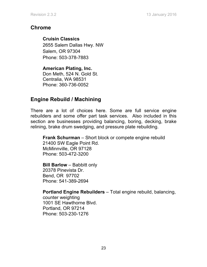### **Chrome**

**Cruisin Classics** 2655 Salem Dallas Hwy. NW Salem, OR 97304 Phone: 503-378-7883

**American Plating, Inc.**  Don Meth, 524 N. Gold St. Centralia, WA 98531 Phone: 360-736-0052

### **Engine Rebuild / Machining**

There are a lot of choices here. Some are full service engine rebuilders and some offer part task services. Also included in this section are businesses providing balancing, boring, decking, brake relining, brake drum swedging, and pressure plate rebuilding.

**Frank Schurman** – Short block or compete engine rebuild 21400 SW Eagle Point Rd. McMinnville, OR 97128 Phone: 503-472-3200

**Bill Barlow** – Babbitt only 20378 Pinevista Dr. Bend, OR 97702 Phone: 541-389-2694

**Portland Engine Rebuilders** – Total engine rebuild, balancing,

counter weighting 1001 SE Hawthorne Blvd. Portland, OR 97214 Phone: 503-230-1276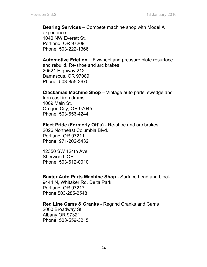**Bearing Services** – Compete machine shop with Model A experience. 1040 NW Everett St. Portland, OR 97209 Phone: 503-222-1366

**Automotive Friction** – Flywheel and pressure plate resurface and rebuild. Re-shoe and arc brakes 20521 Highway 212 Damascus, OR 97089 Phone: 503-855-3670

#### **Clackamas Machine Shop** – Vintage auto parts, swedge and

turn cast iron drums 1009 Main St. Oregon City, OR 97045 Phone: 503-656-4244

#### **Fleet Pride (Formerly Ott's)** - Re-shoe and arc brakes

2026 Northeast Columbia Blvd. Portland, OR 97211 Phone: 971-202-5432

12350 SW 124th Ave. Sherwood, OR Phone: 503-612-0010

#### **Baxter Auto Parts Machine Shop** - Surface head and block

9444 N, Whitaker Rd. Delta Park Portland, OR 97217 Phone 503-285-2548

#### **Red Line Cams & Cranks** - Regrind Cranks and Cams

2000 Broadway St. Albany OR 97321 Phone: 503-559-3215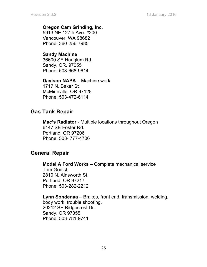#### **Oregon Cam Grinding, Inc**.

5913 NE 127th Ave. #200 Vancouver, WA 98682 Phone: 360-256-7985

#### **Sandy Machine**

36600 SE Hauglum Rd. Sandy, OR. 97055 Phone: 503-668-9614

### **Davison NAPA** – Machine work

1717 N. Baker St McMinnville, OR 97128 Phone: 503-472-6114

### **Gas Tank Repair**

**Mac's Radiator** - Multiple locations throughout Oregon 6147 SE Foster Rd. Portland, OR 97206 Phone: 503- 777-4706

### **General Repair**

**Model A Ford Works –** Complete mechanical service Tom Godish 2810 N. Ainsworth St. Portland, OR 97217 Phone: 503-282-2212

**Lynn Sondenaa** – Brakes, front end, transmission, welding, body work, trouble shooting. 20212 SE Ridgecrest Dr. Sandy, OR 97055 Phone: 503-781-9741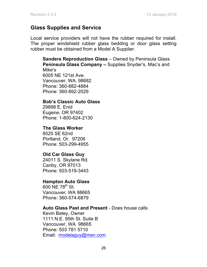### **Glass Supplies and Service**

Local service providers will not have the rubber required for install. The proper windshield rubber glass bedding or door glass setting rubber must be obtained from a Model A Supplier.

**Sanders Reproduction Glass** – Owned by Peninsula Glass **Peninsula Glass Company –** Supplies Snyder's, Mac's and Mike's 6005 NE 121st Ave.

Vancouver, WA. 98682 Phone: 360-882-4884 Phone: 360-892-2029

#### **Bob's Classic Auto Glass**

29898 E. Enid Eugene, OR 97402 Phone: 1-800-624-2130

#### **The Glass Worker**

8525 SE 62nd Portland, Or. 97206 Phone: 503-299-4955

#### **Old Car Glass Guy**

24011 S. Skylane Rd. Canby, OR 97013 Phone: 503-519-3443

#### **Hampton Auto Glass**

600 NE 78<sup>th</sup> St. Vancouver, WA 98665 Phone: 360-574-6879

#### **Auto Glass Past and Present** - Does house calls

Kevin Batey, Owner 1111 N.E. 95th St. Suite B Vancouver, WA 98665 Phone: 503 781 5710 Email: modelaguy@msn.com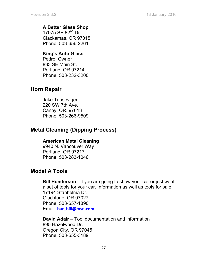#### **A Better Glass Shop**

17075 SE 82<sup>nd</sup> Dr. Clackamas, OR 97015 Phone: 503-656-2261

#### **King's Auto Glass**

Pedro, Owner 833 SE Main St. Portland, OR 97214 Phone: 503-232-3200

### **Horn Repair**

Jake Taasevigen 220 SW 7th Ave. Canby, OR. 97013 Phone: 503-266-9509

### **Metal Cleaning (Dipping Process)**

#### **American Metal Cleaning**

9940 N. Vancouver Way Portland, OR 97217 Phone: 503-283-1046

### **Model A Tools**

**Bill Henderson** - If you are going to show your car or just want a set of tools for your car. Information as well as tools for sale 17194 Stanhelma Dr. Gladstone, OR 97027 Phone: 503-657-1890 Email: **bar\_bill@msn.com**

**David Adair** – Tool documentation and information 895 Hazelwood Dr. Oregon City, OR 97045 Phone: 503-655-3189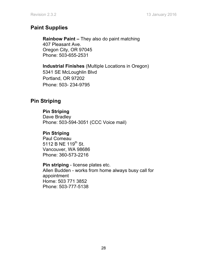### **Paint Supplies**

**Rainbow Paint –** They also do paint matching 407 Pleasant Ave. Oregon City, OR 97045 Phone: 503-655-2531

**Industrial Finishes** (Multiple Locations in Oregon) 5341 SE McLoughlin Blvd Portland, OR 97202 Phone: 503- 234-9795

### **Pin Striping**

#### **Pin Striping**

Dave Bradley Phone: 503-594-3051 (CCC Voice mail)

#### **Pin Striping**

Paul Comeau 5112 B NE 119<sup>th</sup> St. Vancouver, WA 98686 Phone: 360-573-2216

#### **Pin striping** - license plates etc.

Allen Budden - works from home always busy call for appointment Home: 503 771 3852 Phone: 503-777-5138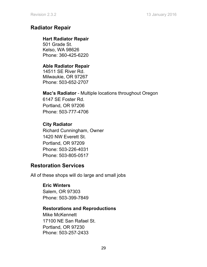### **Radiator Repair**

#### **Hart Radiator Repair**

501 Grade St. Kelso, WA 98626 Phone: 360-425-6220

#### **Able Radiator Repair**

14511 SE River Rd. Milwaukie, OR 97267 Phone: 503-652-2707

#### **Mac's Radiator** - Multiple locations throughout Oregon

6147 SE Foster Rd. Portland, OR 97206 Phone: 503-777-4706

### **City Radiator**

Richard Cunningham, Owner 1420 NW Everett St. Portland, OR 97209 Phone: 503-226-4031 Phone: 503-805-0517

### **Restoration Services**

All of these shops will do large and small jobs

### **Eric Winters**

Salem, OR 97303 Phone: 503-399-7849

### **Restorations and Reproductions**

Mike McKennett 17100 NE San Rafael St. Portland, OR 97230 Phone: 503-257-2433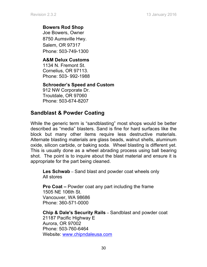#### **Bowers Rod Shop**

Joe Bowers, Owner 8750 Aumsville Hwy. Salem, OR 97317 Phone: 503-749-1300

### **A&M Delux Customs**

1134 N. Fremont St. Cornelius, OR 97113. Phone: 503- 992-1988

#### **Schroeder's Speed and Custom**

912 NW Corporate Dr. Troutdale, OR 97060 Phone: 503-674-8207

### **Sandblast & Powder Coating**

While the generic term is "sandblasting" most shops would be better described as "media" blasters. Sand is fine for hard surfaces like the block but many other items require less destructive materials. Alternate blasting materials are glass beads, walnut shells, aluminum oxide, silicon carbide, or baking soda. Wheel blasting is different yet. This is usually done as a wheel abrading process using ball bearing shot. The point is to inquire about the blast material and ensure it is appropriate for the part being cleaned.

**Les Schwab** – Sand blast and powder coat wheels only All stores

**Pro Coat –** Powder coat any part including the frame 1505 NE 106th St. Vancouver, WA 98686 Phone: 360-571-0000

**Chip & Dale's Security Rails** – Sandblast and powder coat 21187 Pacific Highway E Aurora, OR 97002 Phone: 503-760-6464 Website: www.chipndaleusa.com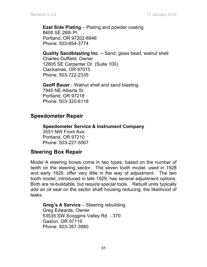**East Side Plating** – Plating and powder coating 8400 SE 26th Pl. Portland, OR 97202-8946 Phone: 503-654-3774

**Quality Sandblasting Inc. –** Sand, glass bead, walnut shell Charles Duffield, Owner 12805 SE Carpenter Dr. (Suite 100) Clackamas, OR 97015 Phone: 503-722-2335

**Geoff Bauer** - Walnut shell and sand blasting. 7945 NE Alberta St. Portland, OR 97218 Phone: 503-320-6118

### **Speedometer Repair**

**Speedometer Service & Instrument Company** 3551 NW Front Ave. Portland, OR 97210 Phone: 503-227-5567

### **Steering Box Repair**

Model A steering boxes come in two types, based on the number of teeth on the steering sector. The seven tooth model, used in 1928 and early 1929, offer very little in the way of adjustment. The two tooth model, introduced in late 1929, has several adjustment options. Both are re-buildable, but require special tools. Rebuilt units typically add an oil seal on the sector shaft housing reducing, the likelihood of leaks.

**Greg's A Service** – Steering rebuilding Greg Edwards, Owner 53535 SW Scoggins Valley Rd. - 370 Gaston, OR 97119 Phone: 503-357-3980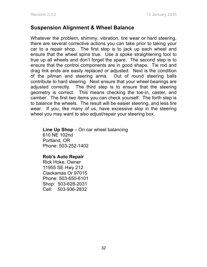### **Suspension Alignment & Wheel Balance**

Whatever the problem, shimmy, vibration, tire wear or hard steering, there are several corrective actions you can take prior to taking your car to a repair shop. The first step is to jack up each wheel and ensure that the wheel spins true. Use a spoke straightening tool to true up all wheels and don't forget the spare. The second step is to ensure that the control components are in good shape. Tie rod and drag link ends are easily replaced or adjusted. Next is the condition of the pitman and steering arms. Out of round steering balls contribute to hard steering. Next ensure that your wheel bearings are adjusted correctly. The third step is to ensure that the steering geometry is correct. This means checking the toe-in, caster, and camber. The first two items you can check yourself. The forth step is to balance the wheels. The result will be easier steering, and less tire wear. If you, like many of us, have excessive slop in the steering wheel you may want to also adjust/repair your steering box.

#### **Line Up Shop** – On car wheel balancing 610 NE 102nd Portland, OR Phone: 503-252-1402

#### **Rob's Auto Repair**

Rick Hoke, Owner 11955 SE Hwy 212 Clackamas Or 97015 Phone: 503-650-6101 Shop: 503-628-2031 Cell: 503-936-2832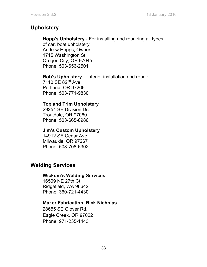### **Upholstery**

#### **Hopp's Upholstery** - For installing and repairing all types

of car, boat upholstery Andrew Hopps, Owner 1715 Washington St. Oregon City, OR 97045 Phone: 503-656-2501

**Rob's Upholstery** – Interior installation and repair 7110 SE 82<sup>nd</sup> Ave. Portland, OR 97266 Phone: 503-771-9830

#### **Top and Trim Upholstery**

29251 SE Division Dr. Troutdale, OR 97060 Phone: 503-665-8986

#### **Jim's Custom Upholstery**

14912 SE Cedar Ave Milwaukie, OR 97267 Phone: 503-708-6302

### **Welding Services**

#### **Wickum's Welding Services**

16509 NE 27th Ct. Ridgefield, WA 98642 Phone: 360-721-4430

#### **Maker Fabrication, Rick Nicholas**

28655 SE Glover Rd. Eagle Creek, OR 97022 Phone: 971-235-1443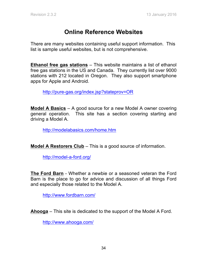# **Online Reference Websites**

There are many websites containing useful support information. This list is sample useful websites, but is not comprehensive.

**Ethanol free gas stations** – This website maintains a list of ethanol free gas stations in the US and Canada. They currently list over 9000 stations with 212 located in Oregon. They also support smartphone apps for Apple and Android.

http://pure-gas.org/index.jsp?stateprov=OR

**Model A Basics** – A good source for a new Model A owner covering general operation. This site has a section covering starting and driving a Model A.

http://modelabasics.com/home.htm

**Model A Restorers Club** – This is a good source of information.

http://model-a-ford.org/

**The Ford Barn** - Whether a newbie or a seasoned veteran the Ford Barn is the place to go for advice and discussion of all things Ford and especially those related to the Model A.

http://www.fordbarn.com/

**Ahooga** – This site is dedicated to the support of the Model A Ford.

http://www.ahooga.com/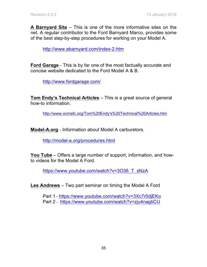**A Barnyard Site** – This is one of the more informative sites on the net. A regular contributor to the Ford Barnyard Marco, provides some of the best step-by-step procedures for working on your Model A.

http://www.abarnyard.com/index-2.htm

**Ford Garage** - This is by far one of the most factually accurate and concise website dedicated to the Ford Model A & B.

http://www.fordgarage.com/

**Tom Endy's Technical Articles** – This is a great source of general how-to information.

http://www.ocmafc.org/Tom%20Endy's%20Technical%20Articles.htm

**Model-A.org** - Information about Model A carburetors.

http://model-a.org/procedures.html

**You Tube** – Offers a large number of support, information, and howto videos for the Model A Ford.

https://www.youtube.com/watch?v=3O36\_T\_sNzA

**Les Andrews** – Two part seminar on timing the Model A Ford

Part 1 - https://www.youtube.com/watch?v=3Xc7r0djEKo Part 2 - https://www.youtube.com/watch?v=zju4nagtiCU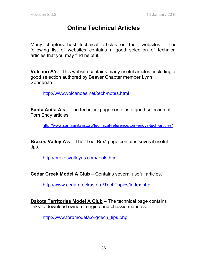# **Online Technical Articles**

Many chapters host technical articles on their websites. The following list of websites contains a good selection of technical articles that you may find helpful.

**Volcano A's** - This website contains many useful articles, including a good selection authored by Beaver Chapter member Lynn Sondenaa..

http://www.volcanoas.net/tech-notes.html

**Santa Anita A's** – The technical page contains a good selection of Tom Endy articles.

http://www.santaanitaas.org/technical-reference/tom-endys-tech-articles/

**Brazos Valley A's** – The "Tool Box" page contains several useful tips.

http://brazosvalleyas.com/tools.html

**Cedar Creek Model A Club** – Contains several useful articles.

http://www.cedarcreekas.org/TechTopics/index.php

**Dakota Territories Model A Club** – The technical page contains links to download owners, engine and chassis manuals.

http://www.fordmodela.org/tech\_tips.php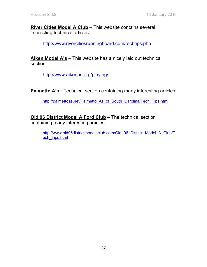**River Cities Model A Club** – This website contains several interesting technical articles.

http://www.rivercitiesrunningboard.com/techtips.php

**Aiken Model A's** – This website has a nicely laid out technical section.

http://www.aikenas.org/playing/

**Palmetto A's** - Technical section containing many interesting articles.

http://palmettoas.net/Palmetto As of South Carolina/Tech Tips.html

**Old 96 District Model A Ford Club** – The technical section containing many interesting articles.

http://www.old96districtmodelaclub.com/Old\_96\_District\_Model\_A\_Club/T\_ ech Tips.html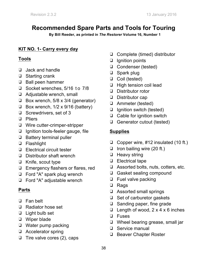# **Recommended Spare Parts and Tools for Touring**

**By Bill Reeder, as printed in** *The Restorer* **Volume 16, Number 1**

### **KIT NO. 1- Carry every day**

### **Tools**

- ❑ Jack and handle
- ❑ Starting crank
- ❑ Ball peen hammer
- □ Socket wrenches, 5/16 to 7/8
- ❑ Adjustable wrench, small
- ❑ Box wrench, 5/8 x 3/4 (generator)
- $\Box$  Box wrench, 1/2 x 9/16 (battery)
- ❑ Screwdrivers, set of 3
- ❑ Pliers
- ❑ Wire cutter-crimper-stripper
- ❑ Ignition tools-feeler gauge, file
- ❑ Battery terminal puller
- ❑ Flashlight
- ❑ Electrical circuit tester
- ❑ Distributor shaft wrench
- ❑ Knife, scout type
- ❑ Emergency flashers or flares, red
- ❑ Ford "A" spark plug wrench
- ❑ Ford "A" adjustable wrench

### **Parts**

- ❑ Fan belt
- ❑ Radiator hose set
- ❑ Light bulb set
- ❑ Wiper blade
- ❑ Water pump packing
- ❑ Accelerator spring
- ❑ Tire valve cores (2), caps
- ❑ Complete (timed) distributor
- □ Ignition points
- ❑ Condenser (tested)
- ❑ Spark plug
- ❑ Coil (tested)
- ❑ High tension coil lead
- ❑ Distributor rotor
- ❑ Distributor cap
- ❑ Ammeter (tested)
- ❑ Ignition switch (tested)
- ❑ Cable for ignition switch
- ❑ Generator cutout (tested)

### **Supplies**

- ❑ Copper wire, #12 insulated (10 ft.)
- ❑ Iron bailing wire (20 ft.)
- ❑ Heavy string
- ❑ Electrical tape
- ❑ Assorted bolts, nuts, cotters, etc.
- ❑ Gasket sealing compound
- ❑ Fuel valve packing
- ❑ Rags
- ❑ Assorted small springs
- ❑ Set of carburetor gaskets
- ❑ Sanding paper, fine grade
- $\Box$  Length of wood,  $2 \times 4 \times 6$  inches
- ❑ Fuses
- ❑ Wheel bearing grease, small jar
- ❑ Service manual
- ❑ Beaver Chapter Roster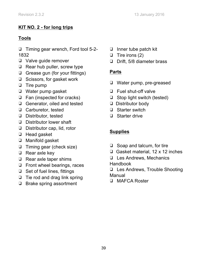### **KIT NO. 2 - for long trips**

### **Tools**

❑ Timing gear wrench, Ford tool 5-2- 1832

- ❑ Valve guide remover
- ❑ Rear hub puller, screw type
- ❑ Grease gun (for your fittings)
- ❑ Scissors, for gasket work
- ❑ Tire pump
- ❑ Water pump gasket
- ❑ Fan (inspected for cracks)
- ❑ Generator, oiled and tested
- ❑ Carburetor, tested
- ❑ Distributor, tested
- ❑ Distributor lower shaft
- ❑ Distributor cap, lid, rotor
- ❑ Head gasket
- ❑ Manifold gasket
- ❑ Timing gear (check size)
- ❑ Rear axle key
- ❑ Rear axle taper shims
- ❑ Front wheel bearings, races
- ❑ Set of fuel lines, fittings
- ❑ Tie rod and drag link spring
- ❑ Brake spring assortment
- ❑ Inner tube patch kit
- ❑ Tire irons (2)
- ❑ Drift, 5/8 diameter brass

### **Parts**

- ❑ Water pump, pre-greased
- ❑ Fuel shut-off valve
- ❑ Stop light switch (tested)
- ❑ Distributor body
- ❑ Starter switch
- ❑ Starter drive

### **Supplies**

- ❑ Soap and talcum, for tire
- ❑ Gasket material, 12 x 12 inches
- ❑ Les Andrews, Mechanics Handbook
- ❑ Les Andrews, Trouble Shooting Manual
- ❑ MAFCA Roster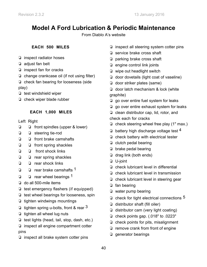# **Model A Ford Lubrication & Periodic Maintenance**

From Diablo A's website

#### **EACH 500 MILES**

- ❏ inspect radiator hoses
- ❏ adjust fan belt
- ❏ inspect fan for cracks
- ❏ change crankcase oil (if not using filter)
- ❏ check fan bearing for looseness (side play)
- ❏ test windshield wiper
- ❏ check wiper blade rubber

#### **EACH 1,000 MILES**

- Left Right
- ❏ ❏ front spindles (upper & lower)
- ❏ ❏ steering tie-rod
- ❏ ❏ front brake camshafts
- ❏ ❏ front spring shackles
- ❏ ❏ front shock links
- ❏ ❏ rear spring shackles
- ❏ ❏ rear shock links
- ❏ ❏ rear brake camshafts 1
- ❏ ❏ rear wheel bearings 1
- ❏ do all 500-mile items
- ❏ test emergency flashers (if equipped)
- ❏ test wheel bearings for looseness, spin
- ❏ tighten windwings mountings
- **□** tighten spring u-bolts, front & rear  $3$
- ❏ tighten all wheel lug nuts
- ❏ test lights (head, tail, stop, dash, etc.)
- ❏ inspect all engine compartment cotter pins
- ❏ inspect all brake system cotter pins
- ❏ inspect all steering system cotter pins
- ❏ service brake cross shaft
- ❏ parking brake cross shaft
- ❏ engine control link joints
- ❏ wipe out headlight switch
- ❏ door dovetails (light coat of vaseline)
- ❏ door striker plates (same)
- ❏ door latch mechanism & lock (white graphite)
- ❏ go over entire fuel system for leaks
- ❏ go over entire exhaust system for leaks
- ❏ clean distributor cap, lid, rotor, and check each for cracks
- ❏ check steering wheel free play (1" max.)
- $\Box$  battery high discharge voltage test 4
- ❏ check battery with electrical tester
- ❏ clutch pedal bearing
- ❏ brake pedal bearing
- ❏ drag link (both ends)
- ❏ U-joint
- ❏ check lubricant level in differential
- ❏ check lubricant level in transmission
- ❏ check lubricant level in steering gear
- ❏ fan bearing
- ❏ water pump bearing
- ❏ check for tight electrical connections 5
- ❏ distributor shaft (fill oiler)
- ❏ distributor cam (very light coating)
- ❏ check points gap. (.018" to .0223"
- ❏ check points for pits, misalignment
- ❏ remove crank from front of engine
- ❏ generator bearings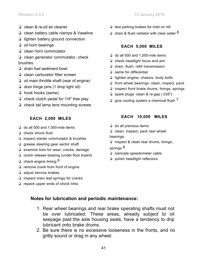- ❏ clean & re-oil air cleaner
- ❏ clean battery cable clamps & Vaseline
- ❏ tighten battery ground connection
- ❏ oil horn bearings
- ❏ clean horn commutator
- ❏ clean generator commutator, check brushes
- ❏ drain fuel sediment bowl
- ❏ clean carburetor filter screen
- ❏ oil main throttle shaft (rear of engine)
- ❏ door hinge pins (1 drop light oil)
- ❏ hook hooks (same)
- ❏ check clutch pedal for 1/4" free play
- ❏ check tail lamp lens mounting screws

#### **EACH 2,000 MILES**

- ❏ do all 500 and 1,000-mile items
- ❏ check shock fluid
- ❏ inspect starter commutator & brushes
- ❏ grease steering gear sector shaft
- ❏ examine tires for wear, cracks, damage
- ❏ clutch release bearing (under floor board)
- $\Box$  check engine timing  $6$
- ❏ remove crank from front of engine
- ❏ adjust service brakes
- ❏ inspect main leaf springs for cracks
- ❏ repack upper ends of shock links
- ❏ test parking brakes for hold on hill
- drain & flush radiator with clear water  $8$

#### **EACH 5,000 MILES**

- ❏ do all 500 and 1,000-mile items
- ❏ check headlight focus and aim
- ❏ drain, flush, refill transmission
- ❏ same for differential
- ❏ tighten engine, chassis, body bolts
- ❏ front wheel bearings: clean, inspect, pack
- ❏ inspect front brake drums, linings, springs
- ❏ spark plugs: clean & re-gap (.035")
- $\square$  give cooling system a chemical flush  $^7$

#### **EACH 10,000 MILES**

- ❏ do all previous items
- ❏ clean, inspect, pack rear wheel

bearings

❏ inspect & clean rear drums, linings,

springs <sup>8</sup>

- ❏ lubricate speedometer cable
- ❏ polish headlight reflectors

#### **Notes for lubrication and periodic maintenance:**

- 1. Rear wheel bearings and rear brake operating shafts must not be over lubricated. These areas, already subject to oil seepage past the axle housing seals, have a tendency to drip lubricant onto brake drums.
- 2. Be sure there is no excessive looseness in the fronts, and no gritty sound or drag in any wheel.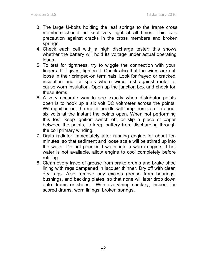- 3. The large U-bolts holding the leaf springs to the frame cross members should be kept very tight at all times. This is a precaution against cracks in the cross members and broken springs.
- 4. Check each cell with a high discharge tester; this shows whether the battery will hold its voltage under actual operating loads.
- 5. To test for tightness, try to wiggle the connection with your fingers. If it gives, tighten it. Check also that the wires are not loose in their crimped-on terminals. Look for frayed or cracked insulation and for spots where wires rest against metal to cause worn insulation. Open up the junction box and check for these items.
- 6. A very accurate way to see exactly when distributor points open is to hook up a six volt DC voltmeter across the points. With ignition on, the meter needle will jump from zero to about six volts at the instant the points open. When not performing this test, keep ignition switch off, or slip a piece of paper between the points, to keep battery from discharging through the coil primary winding.
- 7. Drain radiator immediately after running engine for about ten minutes, so that sediment and loose scale will be stirred up into the water. Do not pour cold water into a warm engine. If hot water is not available, allow engine to cool completely before refilling.
- 8. Clean every trace of grease from brake drums and brake shoe lining with rags dampened in lacquer thinner. Dry off with clean dry rags. Also remove any excess grease from bearings, bushings, and backing plates, so that none will later drop down onto drums or shoes. With everything sanitary, inspect for scored drums, worn linings, broken springs.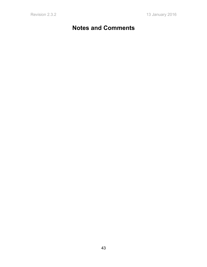# **Notes and Comments**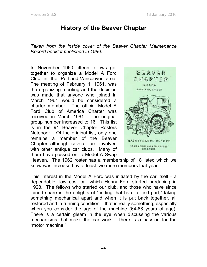# **History of the Beaver Chapter**

*Taken from the inside cover of the Beaver Chapter Maintenance Record booklet published in 1996.*

In November 1960 fifteen fellows got together to organize a Model A Ford Club in the Portland-Vancouver area. The meeting of February 1, 1961, was the organizing meeting and the decision was made that anyone who joined in March 1961 would be considered a charter member. The official Model A Ford Club of America Charter was received in March 1961. The original group number increased to 16. This list is in the #1 Beaver Chapter Rosters Notebook. Of the original list, only one remains a member of the Beaver Chapter although several are involved with other antique car clubs. Many of them have passed on to Model A Swap



Heaven. The 1962 roster has a membership of 18 listed which we know was increased by at least two more members that year.

This interest in the Model A Ford was initiated by the car itself - a dependable, low cost car which Henry Ford started producing in 1928. The fellows who started our club, and those who have since joined share in the delights of "finding that hard to find part," taking something mechanical apart and when it is put back together, all restored and in running condition – that is really something, especially when you consider the age of the machine (64-68 years of age). There is a certain gleam in the eye when discussing the various mechanisms that make the car work. There is a passion for the "motor machine."